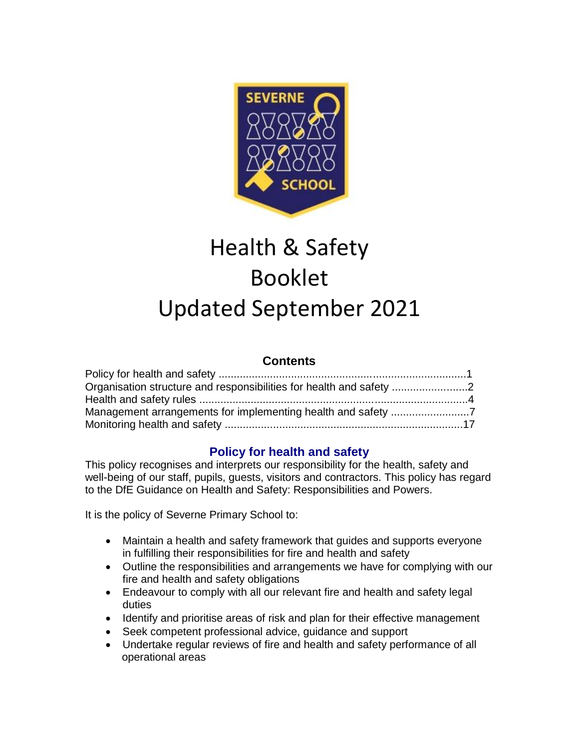

# Health & Safety Booklet Updated September 2021

## **Contents**

| Organisation structure and responsibilities for health and safety |  |
|-------------------------------------------------------------------|--|
|                                                                   |  |
|                                                                   |  |
|                                                                   |  |

## **Policy for health and safety**

This policy recognises and interprets our responsibility for the health, safety and well-being of our staff, pupils, guests, visitors and contractors. This policy has regard to the DfE Guidance on Health and Safety: Responsibilities and Powers.

It is the policy of Severne Primary School to:

- Maintain a health and safety framework that guides and supports everyone in fulfilling their responsibilities for fire and health and safety
- Outline the responsibilities and arrangements we have for complying with our fire and health and safety obligations
- Endeavour to comply with all our relevant fire and health and safety legal duties
- Identify and prioritise areas of risk and plan for their effective management
- Seek competent professional advice, guidance and support
- Undertake regular reviews of fire and health and safety performance of all operational areas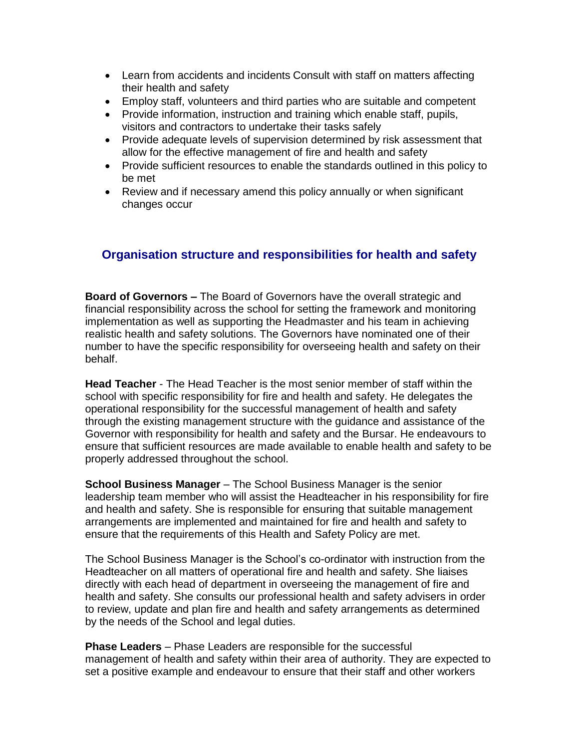- Learn from accidents and incidents Consult with staff on matters affecting their health and safety
- Employ staff, volunteers and third parties who are suitable and competent
- Provide information, instruction and training which enable staff, pupils, visitors and contractors to undertake their tasks safely
- Provide adequate levels of supervision determined by risk assessment that allow for the effective management of fire and health and safety
- Provide sufficient resources to enable the standards outlined in this policy to be met
- Review and if necessary amend this policy annually or when significant changes occur

## **Organisation structure and responsibilities for health and safety**

**Board of Governors** *–* The Board of Governors have the overall strategic and financial responsibility across the school for setting the framework and monitoring implementation as well as supporting the Headmaster and his team in achieving realistic health and safety solutions. The Governors have nominated one of their number to have the specific responsibility for overseeing health and safety on their behalf.

**Head Teacher** - The Head Teacher is the most senior member of staff within the school with specific responsibility for fire and health and safety. He delegates the operational responsibility for the successful management of health and safety through the existing management structure with the guidance and assistance of the Governor with responsibility for health and safety and the Bursar. He endeavours to ensure that sufficient resources are made available to enable health and safety to be properly addressed throughout the school.

**School Business Manager** – The School Business Manager is the senior leadership team member who will assist the Headteacher in his responsibility for fire and health and safety. She is responsible for ensuring that suitable management arrangements are implemented and maintained for fire and health and safety to ensure that the requirements of this Health and Safety Policy are met.

The School Business Manager is the School's co-ordinator with instruction from the Headteacher on all matters of operational fire and health and safety. She liaises directly with each head of department in overseeing the management of fire and health and safety. She consults our professional health and safety advisers in order to review, update and plan fire and health and safety arrangements as determined by the needs of the School and legal duties.

**Phase Leaders** – Phase Leaders are responsible for the successful management of health and safety within their area of authority. They are expected to set a positive example and endeavour to ensure that their staff and other workers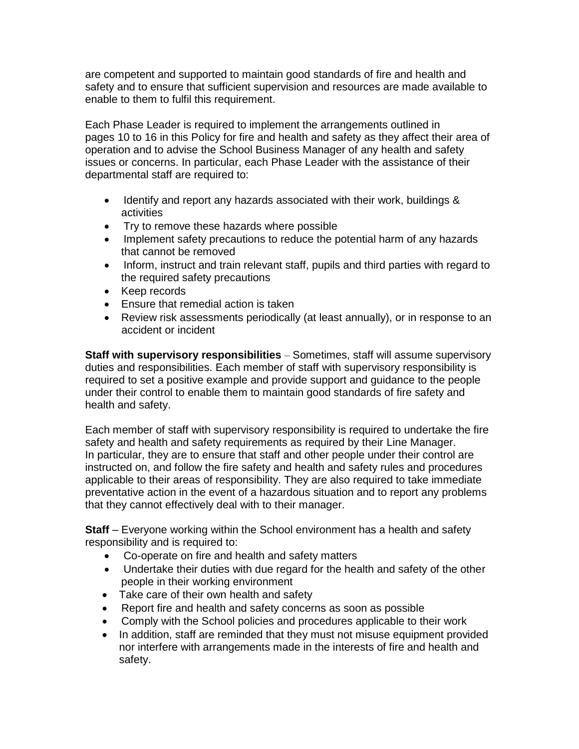are competent and supported to maintain good standards of fire and health and safety and to ensure that sufficient supervision and resources are made available to enable to them to fulfil this requirement.

Each Phase Leader is required to implement the arrangements outlined in pages 10 to 16 in this Policy for fire and health and safety as they affect their area of operation and to advise the School Business Manager of any health and safety issues or concerns. In particular, each Phase Leader with the assistance of their departmental staff are required to:

- Identify and report any hazards associated with their work, buildings & activities
- Try to remove these hazards where possible
- Implement safety precautions to reduce the potential harm of any hazards that cannot be removed
- Inform, instruct and train relevant staff, pupils and third parties with regard to the required safety precautions
- Keep records
- Ensure that remedial action is taken
- Review risk assessments periodically (at least annually), or in response to an accident or incident

**Staff with supervisory responsibilities** – Sometimes, staff will assume supervisory duties and responsibilities. Each member of staff with supervisory responsibility is required to set a positive example and provide support and guidance to the people under their control to enable them to maintain good standards of fire safety and health and safety.

Each member of staff with supervisory responsibility is required to undertake the fire safety and health and safety requirements as required by their Line Manager. In particular, they are to ensure that staff and other people under their control are instructed on, and follow the fire safety and health and safety rules and procedures applicable to their areas of responsibility. They are also required to take immediate preventative action in the event of a hazardous situation and to report any problems that they cannot effectively deal with to their manager.

**Staff** – Everyone working within the School environment has a health and safety responsibility and is required to:

- Co-operate on fire and health and safety matters
- Undertake their duties with due regard for the health and safety of the other people in their working environment
- Take care of their own health and safety
- Report fire and health and safety concerns as soon as possible
- Comply with the School policies and procedures applicable to their work
- In addition, staff are reminded that they must not misuse equipment provided nor interfere with arrangements made in the interests of fire and health and safety.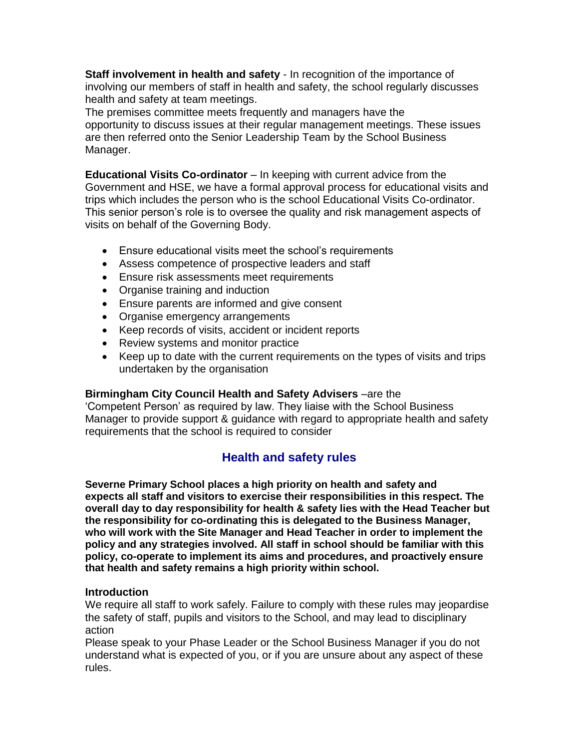**Staff involvement in health and safety** - In recognition of the importance of involving our members of staff in health and safety, the school regularly discusses health and safety at team meetings.

The premises committee meets frequently and managers have the opportunity to discuss issues at their regular management meetings. These issues are then referred onto the Senior Leadership Team by the School Business Manager.

**Educational Visits Co-ordinator** – In keeping with current advice from the Government and HSE, we have a formal approval process for educational visits and trips which includes the person who is the school Educational Visits Co-ordinator. This senior person's role is to oversee the quality and risk management aspects of visits on behalf of the Governing Body.

- Ensure educational visits meet the school's requirements
- Assess competence of prospective leaders and staff
- Ensure risk assessments meet requirements
- Organise training and induction
- Ensure parents are informed and give consent
- Organise emergency arrangements
- Keep records of visits, accident or incident reports
- Review systems and monitor practice
- Keep up to date with the current requirements on the types of visits and trips undertaken by the organisation

#### **Birmingham City Council Health and Safety Advisers** –are the

'Competent Person' as required by law. They liaise with the School Business Manager to provide support & guidance with regard to appropriate health and safety requirements that the school is required to consider

# **Health and safety rules**

**Severne Primary School places a high priority on health and safety and expects all staff and visitors to exercise their responsibilities in this respect. The overall day to day responsibility for health & safety lies with the Head Teacher but the responsibility for co-ordinating this is delegated to the Business Manager, who will work with the Site Manager and Head Teacher in order to implement the policy and any strategies involved. All staff in school should be familiar with this policy, co-operate to implement its aims and procedures, and proactively ensure that health and safety remains a high priority within school.**

#### **Introduction**

We require all staff to work safely. Failure to comply with these rules may jeopardise the safety of staff, pupils and visitors to the School, and may lead to disciplinary action

Please speak to your Phase Leader or the School Business Manager if you do not understand what is expected of you, or if you are unsure about any aspect of these rules.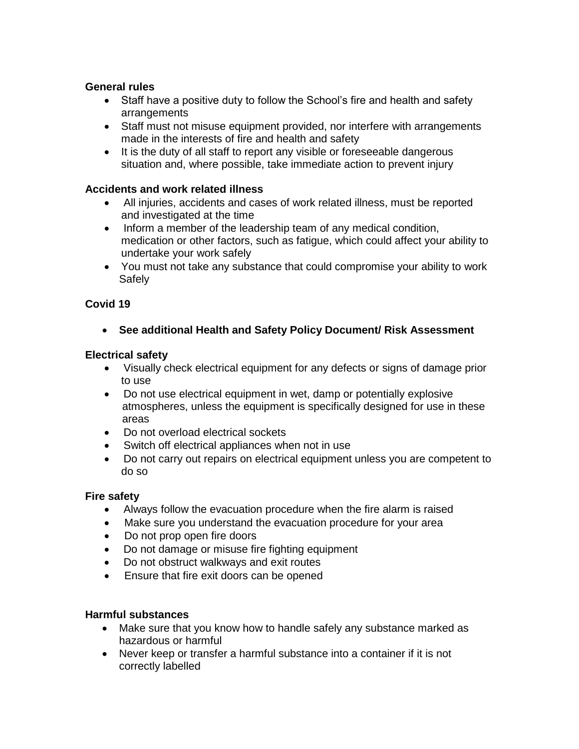## **General rules**

- Staff have a positive duty to follow the School's fire and health and safety arrangements
- Staff must not misuse equipment provided, nor interfere with arrangements made in the interests of fire and health and safety
- It is the duty of all staff to report any visible or foreseeable dangerous situation and, where possible, take immediate action to prevent injury

#### **Accidents and work related illness**

- All injuries, accidents and cases of work related illness, must be reported and investigated at the time
- Inform a member of the leadership team of any medical condition, medication or other factors, such as fatigue, which could affect your ability to undertake your work safely
- You must not take any substance that could compromise your ability to work Safely

#### **Covid 19**

• **See additional Health and Safety Policy Document/ Risk Assessment**

#### **Electrical safety**

- Visually check electrical equipment for any defects or signs of damage prior to use
- Do not use electrical equipment in wet, damp or potentially explosive atmospheres, unless the equipment is specifically designed for use in these areas
- Do not overload electrical sockets
- Switch off electrical appliances when not in use
- Do not carry out repairs on electrical equipment unless you are competent to do so

#### **Fire safety**

- Always follow the evacuation procedure when the fire alarm is raised
- Make sure you understand the evacuation procedure for your area
- Do not prop open fire doors
- Do not damage or misuse fire fighting equipment
- Do not obstruct walkways and exit routes
- Ensure that fire exit doors can be opened

#### **Harmful substances**

- Make sure that you know how to handle safely any substance marked as hazardous or harmful
- Never keep or transfer a harmful substance into a container if it is not correctly labelled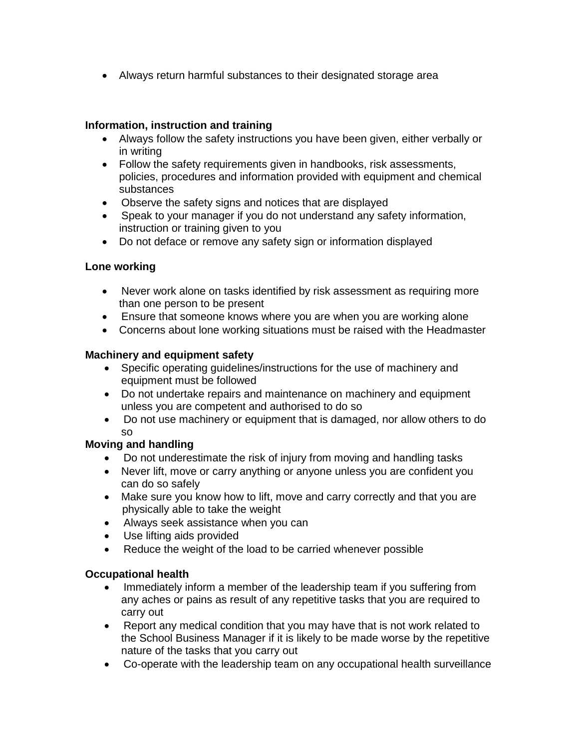• Always return harmful substances to their designated storage area

## **Information, instruction and training**

- Always follow the safety instructions you have been given, either verbally or in writing
- Follow the safety requirements given in handbooks, risk assessments, policies, procedures and information provided with equipment and chemical substances
- Observe the safety signs and notices that are displayed
- Speak to your manager if you do not understand any safety information, instruction or training given to you
- Do not deface or remove any safety sign or information displayed

## **Lone working**

- Never work alone on tasks identified by risk assessment as requiring more than one person to be present
- Ensure that someone knows where you are when you are working alone
- Concerns about lone working situations must be raised with the Headmaster

## **Machinery and equipment safety**

- Specific operating guidelines/instructions for the use of machinery and equipment must be followed
- Do not undertake repairs and maintenance on machinery and equipment unless you are competent and authorised to do so
- Do not use machinery or equipment that is damaged, nor allow others to do so

## **Moving and handling**

- Do not underestimate the risk of injury from moving and handling tasks
- Never lift, move or carry anything or anyone unless you are confident you can do so safely
- Make sure you know how to lift, move and carry correctly and that you are physically able to take the weight
- Always seek assistance when you can
- Use lifting aids provided
- Reduce the weight of the load to be carried whenever possible

## **Occupational health**

- Immediately inform a member of the leadership team if you suffering from any aches or pains as result of any repetitive tasks that you are required to carry out
- Report any medical condition that you may have that is not work related to the School Business Manager if it is likely to be made worse by the repetitive nature of the tasks that you carry out
- Co-operate with the leadership team on any occupational health surveillance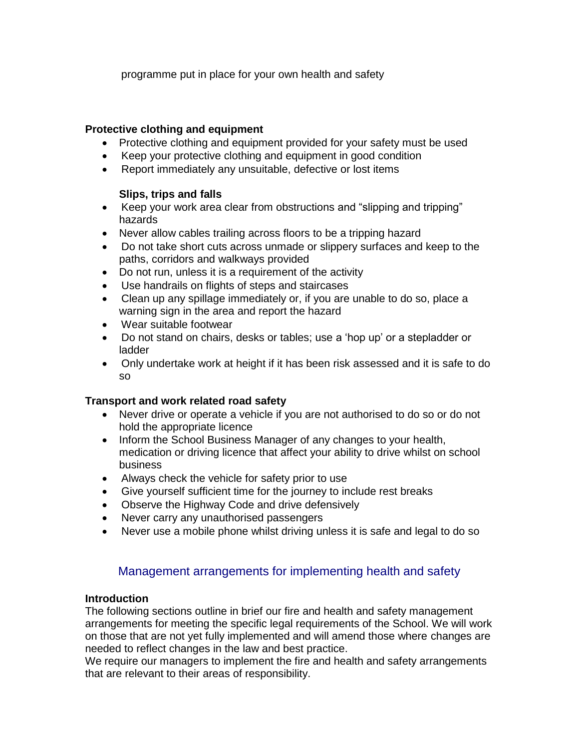programme put in place for your own health and safety

## **Protective clothing and equipment**

- Protective clothing and equipment provided for your safety must be used
- Keep your protective clothing and equipment in good condition
- Report immediately any unsuitable, defective or lost items

#### **Slips, trips and falls**

- Keep your work area clear from obstructions and "slipping and tripping" hazards
- Never allow cables trailing across floors to be a tripping hazard
- Do not take short cuts across unmade or slippery surfaces and keep to the paths, corridors and walkways provided
- Do not run, unless it is a requirement of the activity
- Use handrails on flights of steps and staircases
- Clean up any spillage immediately or, if you are unable to do so, place a warning sign in the area and report the hazard
- Wear suitable footwear
- Do not stand on chairs, desks or tables; use a 'hop up' or a stepladder or ladder
- Only undertake work at height if it has been risk assessed and it is safe to do so

## **Transport and work related road safety**

- Never drive or operate a vehicle if you are not authorised to do so or do not hold the appropriate licence
- Inform the School Business Manager of any changes to your health, medication or driving licence that affect your ability to drive whilst on school business
- Always check the vehicle for safety prior to use
- Give yourself sufficient time for the journey to include rest breaks
- Observe the Highway Code and drive defensively
- Never carry any unauthorised passengers
- Never use a mobile phone whilst driving unless it is safe and legal to do so

# Management arrangements for implementing health and safety

#### **Introduction**

The following sections outline in brief our fire and health and safety management arrangements for meeting the specific legal requirements of the School. We will work on those that are not yet fully implemented and will amend those where changes are needed to reflect changes in the law and best practice.

We require our managers to implement the fire and health and safety arrangements that are relevant to their areas of responsibility.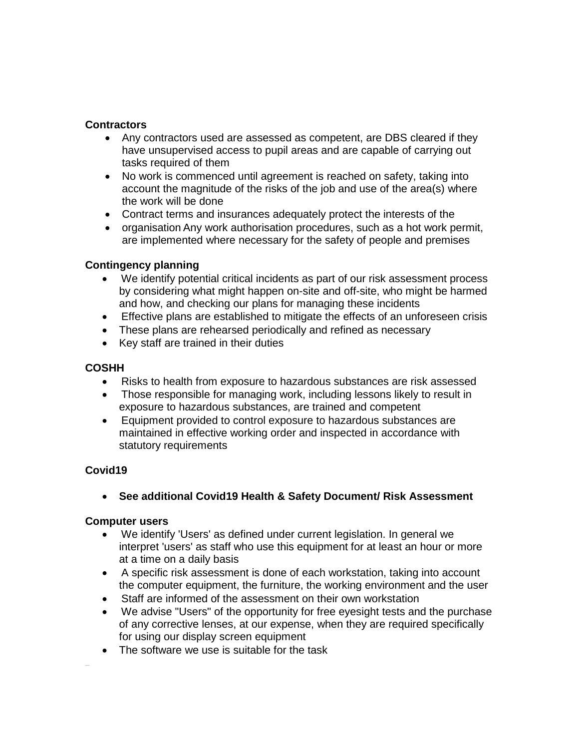#### **Contractors**

- Any contractors used are assessed as competent, are DBS cleared if they have unsupervised access to pupil areas and are capable of carrying out tasks required of them
- No work is commenced until agreement is reached on safety, taking into account the magnitude of the risks of the job and use of the area(s) where the work will be done
- Contract terms and insurances adequately protect the interests of the
- organisation Any work authorisation procedures, such as a hot work permit, are implemented where necessary for the safety of people and premises

#### **Contingency planning**

- We identify potential critical incidents as part of our risk assessment process by considering what might happen on-site and off-site, who might be harmed and how, and checking our plans for managing these incidents
- Effective plans are established to mitigate the effects of an unforeseen crisis
- These plans are rehearsed periodically and refined as necessary
- Key staff are trained in their duties

## **COSHH**

- Risks to health from exposure to hazardous substances are risk assessed
- Those responsible for managing work, including lessons likely to result in exposure to hazardous substances, are trained and competent
- Equipment provided to control exposure to hazardous substances are maintained in effective working order and inspected in accordance with statutory requirements

## **Covid19**

 $\overline{a}$ 

• **See additional Covid19 Health & Safety Document/ Risk Assessment**

## **Computer users**

- We identify 'Users' as defined under current legislation. In general we interpret 'users' as staff who use this equipment for at least an hour or more at a time on a daily basis
- A specific risk assessment is done of each workstation, taking into account the computer equipment, the furniture, the working environment and the user
- Staff are informed of the assessment on their own workstation
- We advise "Users" of the opportunity for free eyesight tests and the purchase of any corrective lenses, at our expense, when they are required specifically for using our display screen equipment
- The software we use is suitable for the task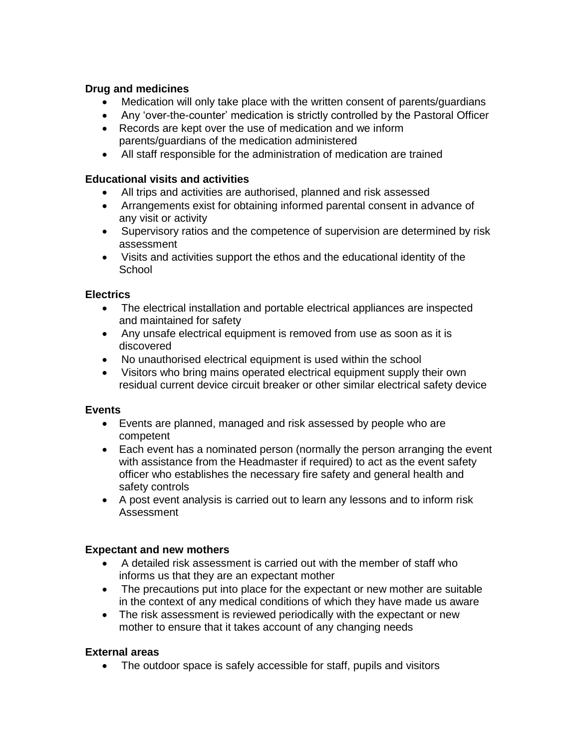## **Drug and medicines**

- Medication will only take place with the written consent of parents/guardians
- Any 'over-the-counter' medication is strictly controlled by the Pastoral Officer
- Records are kept over the use of medication and we inform parents/guardians of the medication administered
- All staff responsible for the administration of medication are trained

## **Educational visits and activities**

- All trips and activities are authorised, planned and risk assessed
- Arrangements exist for obtaining informed parental consent in advance of any visit or activity
- Supervisory ratios and the competence of supervision are determined by risk assessment
- Visits and activities support the ethos and the educational identity of the **School**

#### **Electrics**

- The electrical installation and portable electrical appliances are inspected and maintained for safety
- Any unsafe electrical equipment is removed from use as soon as it is discovered
- No unauthorised electrical equipment is used within the school
- Visitors who bring mains operated electrical equipment supply their own residual current device circuit breaker or other similar electrical safety device

#### **Events**

- Events are planned, managed and risk assessed by people who are competent
- Each event has a nominated person (normally the person arranging the event with assistance from the Headmaster if required) to act as the event safety officer who establishes the necessary fire safety and general health and safety controls
- A post event analysis is carried out to learn any lessons and to inform risk Assessment

## **Expectant and new mothers**

- A detailed risk assessment is carried out with the member of staff who informs us that they are an expectant mother
- The precautions put into place for the expectant or new mother are suitable in the context of any medical conditions of which they have made us aware
- The risk assessment is reviewed periodically with the expectant or new mother to ensure that it takes account of any changing needs

## **External areas**

• The outdoor space is safely accessible for staff, pupils and visitors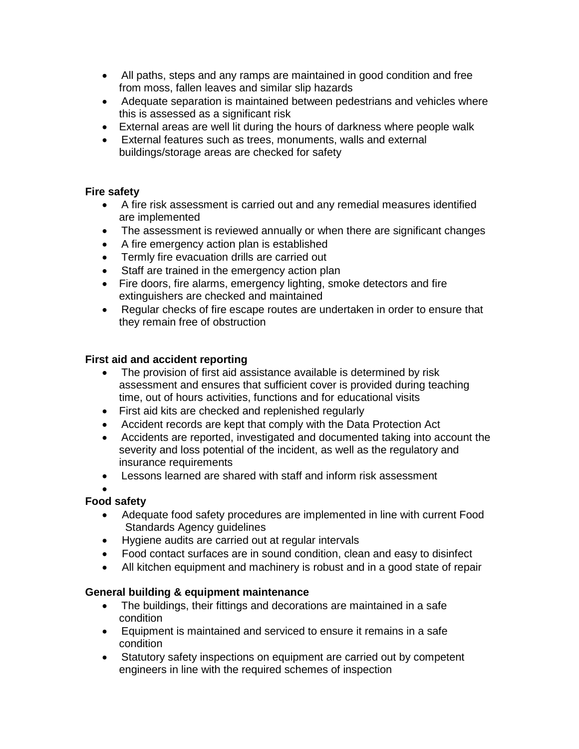- All paths, steps and any ramps are maintained in good condition and free from moss, fallen leaves and similar slip hazards
- Adequate separation is maintained between pedestrians and vehicles where this is assessed as a significant risk
- External areas are well lit during the hours of darkness where people walk
- External features such as trees, monuments, walls and external buildings/storage areas are checked for safety

## **Fire safety**

- A fire risk assessment is carried out and any remedial measures identified are implemented
- The assessment is reviewed annually or when there are significant changes
- A fire emergency action plan is established
- Termly fire evacuation drills are carried out
- Staff are trained in the emergency action plan
- Fire doors, fire alarms, emergency lighting, smoke detectors and fire extinguishers are checked and maintained
- Regular checks of fire escape routes are undertaken in order to ensure that they remain free of obstruction

#### **First aid and accident reporting**

- The provision of first aid assistance available is determined by risk assessment and ensures that sufficient cover is provided during teaching time, out of hours activities, functions and for educational visits
- First aid kits are checked and replenished regularly
- Accident records are kept that comply with the Data Protection Act
- Accidents are reported, investigated and documented taking into account the severity and loss potential of the incident, as well as the regulatory and insurance requirements
- Lessons learned are shared with staff and inform risk assessment

•

## **Food safety**

- Adequate food safety procedures are implemented in line with current Food Standards Agency guidelines
- Hygiene audits are carried out at regular intervals
- Food contact surfaces are in sound condition, clean and easy to disinfect
- All kitchen equipment and machinery is robust and in a good state of repair

## **General building & equipment maintenance**

- The buildings, their fittings and decorations are maintained in a safe condition
- Equipment is maintained and serviced to ensure it remains in a safe condition
- Statutory safety inspections on equipment are carried out by competent engineers in line with the required schemes of inspection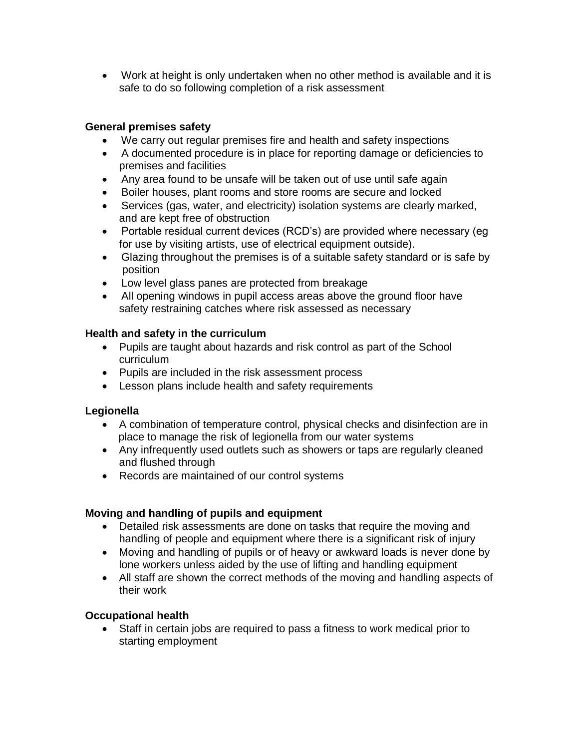• Work at height is only undertaken when no other method is available and it is safe to do so following completion of a risk assessment

## **General premises safety**

- We carry out regular premises fire and health and safety inspections
- A documented procedure is in place for reporting damage or deficiencies to premises and facilities
- Any area found to be unsafe will be taken out of use until safe again
- Boiler houses, plant rooms and store rooms are secure and locked
- Services (gas, water, and electricity) isolation systems are clearly marked, and are kept free of obstruction
- Portable residual current devices (RCD's) are provided where necessary (eg for use by visiting artists, use of electrical equipment outside).
- Glazing throughout the premises is of a suitable safety standard or is safe by position
- Low level glass panes are protected from breakage
- All opening windows in pupil access areas above the ground floor have safety restraining catches where risk assessed as necessary

## **Health and safety in the curriculum**

- Pupils are taught about hazards and risk control as part of the School curriculum
- Pupils are included in the risk assessment process
- Lesson plans include health and safety requirements

## **Legionella**

- A combination of temperature control, physical checks and disinfection are in place to manage the risk of legionella from our water systems
- Any infrequently used outlets such as showers or taps are regularly cleaned and flushed through
- Records are maintained of our control systems

## **Moving and handling of pupils and equipment**

- Detailed risk assessments are done on tasks that require the moving and handling of people and equipment where there is a significant risk of injury
- Moving and handling of pupils or of heavy or awkward loads is never done by lone workers unless aided by the use of lifting and handling equipment
- All staff are shown the correct methods of the moving and handling aspects of their work

## **Occupational health**

• Staff in certain jobs are required to pass a fitness to work medical prior to starting employment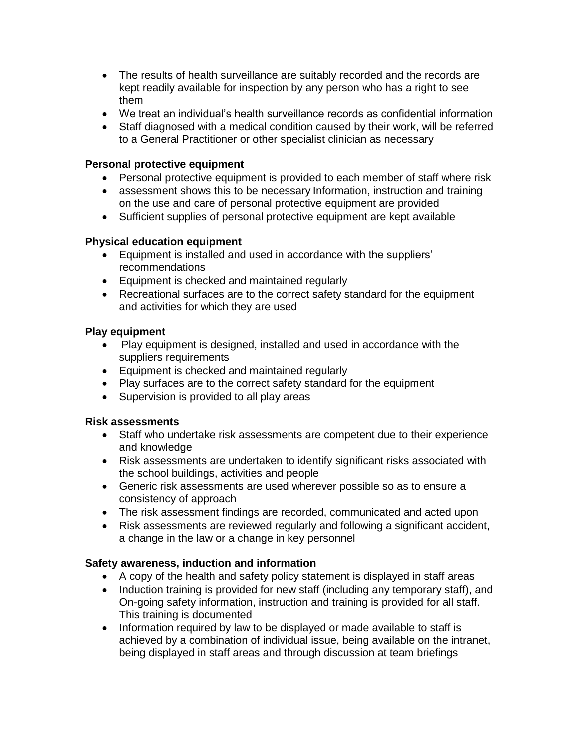- The results of health surveillance are suitably recorded and the records are kept readily available for inspection by any person who has a right to see them
- We treat an individual's health surveillance records as confidential information
- Staff diagnosed with a medical condition caused by their work, will be referred to a General Practitioner or other specialist clinician as necessary

## **Personal protective equipment**

- Personal protective equipment is provided to each member of staff where risk
- assessment shows this to be necessary Information, instruction and training on the use and care of personal protective equipment are provided
- Sufficient supplies of personal protective equipment are kept available

#### **Physical education equipment**

- Equipment is installed and used in accordance with the suppliers' recommendations
- Equipment is checked and maintained regularly
- Recreational surfaces are to the correct safety standard for the equipment and activities for which they are used

#### **Play equipment**

- Play equipment is designed, installed and used in accordance with the suppliers requirements
- Equipment is checked and maintained regularly
- Play surfaces are to the correct safety standard for the equipment
- Supervision is provided to all play areas

#### **Risk assessments**

- Staff who undertake risk assessments are competent due to their experience and knowledge
- Risk assessments are undertaken to identify significant risks associated with the school buildings, activities and people
- Generic risk assessments are used wherever possible so as to ensure a consistency of approach
- The risk assessment findings are recorded, communicated and acted upon
- Risk assessments are reviewed regularly and following a significant accident, a change in the law or a change in key personnel

#### **Safety awareness, induction and information**

- A copy of the health and safety policy statement is displayed in staff areas
- Induction training is provided for new staff (including any temporary staff), and On-going safety information, instruction and training is provided for all staff. This training is documented
- Information required by law to be displayed or made available to staff is achieved by a combination of individual issue, being available on the intranet, being displayed in staff areas and through discussion at team briefings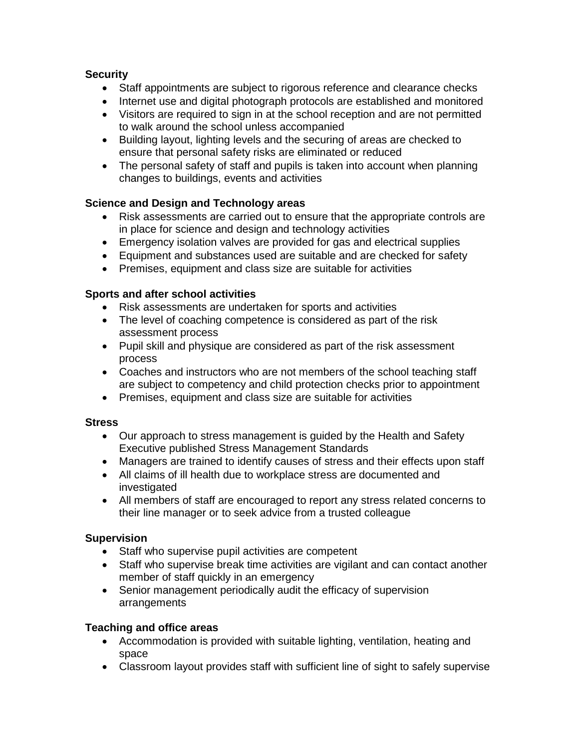## **Security**

- Staff appointments are subject to rigorous reference and clearance checks
- Internet use and digital photograph protocols are established and monitored
- Visitors are required to sign in at the school reception and are not permitted to walk around the school unless accompanied
- Building layout, lighting levels and the securing of areas are checked to ensure that personal safety risks are eliminated or reduced
- The personal safety of staff and pupils is taken into account when planning changes to buildings, events and activities

## **Science and Design and Technology areas**

- Risk assessments are carried out to ensure that the appropriate controls are in place for science and design and technology activities
- Emergency isolation valves are provided for gas and electrical supplies
- Equipment and substances used are suitable and are checked for safety
- Premises, equipment and class size are suitable for activities

## **Sports and after school activities**

- Risk assessments are undertaken for sports and activities
- The level of coaching competence is considered as part of the risk assessment process
- Pupil skill and physique are considered as part of the risk assessment process
- Coaches and instructors who are not members of the school teaching staff are subject to competency and child protection checks prior to appointment
- Premises, equipment and class size are suitable for activities

## **Stress**

- Our approach to stress management is guided by the Health and Safety Executive published Stress Management Standards
- Managers are trained to identify causes of stress and their effects upon staff
- All claims of ill health due to workplace stress are documented and investigated
- All members of staff are encouraged to report any stress related concerns to their line manager or to seek advice from a trusted colleague

## **Supervision**

- Staff who supervise pupil activities are competent
- Staff who supervise break time activities are vigilant and can contact another member of staff quickly in an emergency
- Senior management periodically audit the efficacy of supervision arrangements

## **Teaching and office areas**

- Accommodation is provided with suitable lighting, ventilation, heating and space
- Classroom layout provides staff with sufficient line of sight to safely supervise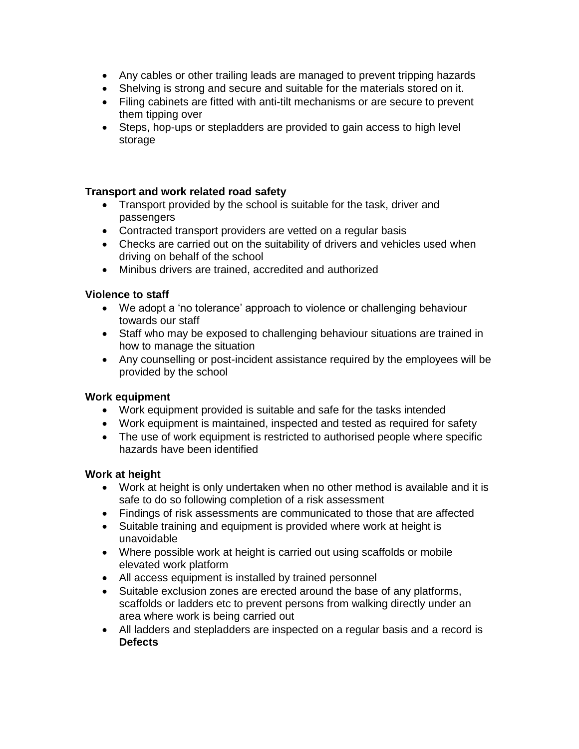- Any cables or other trailing leads are managed to prevent tripping hazards
- Shelving is strong and secure and suitable for the materials stored on it.
- Filing cabinets are fitted with anti-tilt mechanisms or are secure to prevent them tipping over
- Steps, hop-ups or stepladders are provided to gain access to high level storage

#### **Transport and work related road safety**

- Transport provided by the school is suitable for the task, driver and passengers
- Contracted transport providers are vetted on a regular basis
- Checks are carried out on the suitability of drivers and vehicles used when driving on behalf of the school
- Minibus drivers are trained, accredited and authorized

#### **Violence to staff**

- We adopt a 'no tolerance' approach to violence or challenging behaviour towards our staff
- Staff who may be exposed to challenging behaviour situations are trained in how to manage the situation
- Any counselling or post-incident assistance required by the employees will be provided by the school

#### **Work equipment**

- Work equipment provided is suitable and safe for the tasks intended
- Work equipment is maintained, inspected and tested as required for safety
- The use of work equipment is restricted to authorised people where specific hazards have been identified

#### **Work at height**

- Work at height is only undertaken when no other method is available and it is safe to do so following completion of a risk assessment
- Findings of risk assessments are communicated to those that are affected
- Suitable training and equipment is provided where work at height is unavoidable
- Where possible work at height is carried out using scaffolds or mobile elevated work platform
- All access equipment is installed by trained personnel
- Suitable exclusion zones are erected around the base of any platforms, scaffolds or ladders etc to prevent persons from walking directly under an area where work is being carried out
- All ladders and stepladders are inspected on a regular basis and a record is **Defects**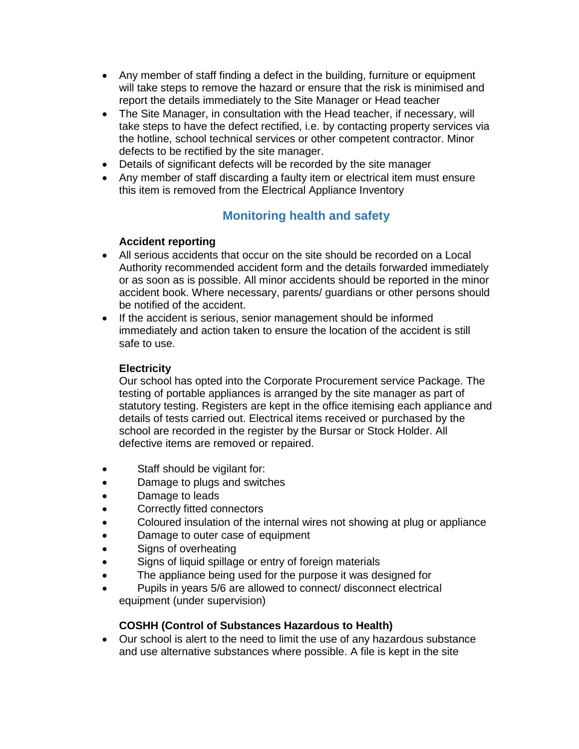- Any member of staff finding a defect in the building, furniture or equipment will take steps to remove the hazard or ensure that the risk is minimised and report the details immediately to the Site Manager or Head teacher
- The Site Manager, in consultation with the Head teacher, if necessary, will take steps to have the defect rectified, i.e. by contacting property services via the hotline, school technical services or other competent contractor. Minor defects to be rectified by the site manager.
- Details of significant defects will be recorded by the site manager
- Any member of staff discarding a faulty item or electrical item must ensure this item is removed from the Electrical Appliance Inventory

# **Monitoring health and safety**

## **Accident reporting**

- All serious accidents that occur on the site should be recorded on a Local Authority recommended accident form and the details forwarded immediately or as soon as is possible. All minor accidents should be reported in the minor accident book. Where necessary, parents/ guardians or other persons should be notified of the accident.
- If the accident is serious, senior management should be informed immediately and action taken to ensure the location of the accident is still safe to use.

#### **Electricity**

Our school has opted into the Corporate Procurement service Package. The testing of portable appliances is arranged by the site manager as part of statutory testing. Registers are kept in the office itemising each appliance and details of tests carried out. Electrical items received or purchased by the school are recorded in the register by the Bursar or Stock Holder. All defective items are removed or repaired.

- Staff should be vigilant for:
- Damage to plugs and switches
- Damage to leads
- Correctly fitted connectors
- Coloured insulation of the internal wires not showing at plug or appliance
- Damage to outer case of equipment
- Signs of overheating
- Signs of liquid spillage or entry of foreign materials
- The appliance being used for the purpose it was designed for
- Pupils in years 5/6 are allowed to connect/ disconnect electrical equipment (under supervision)

#### **COSHH (Control of Substances Hazardous to Health)**

• Our school is alert to the need to limit the use of any hazardous substance and use alternative substances where possible. A file is kept in the site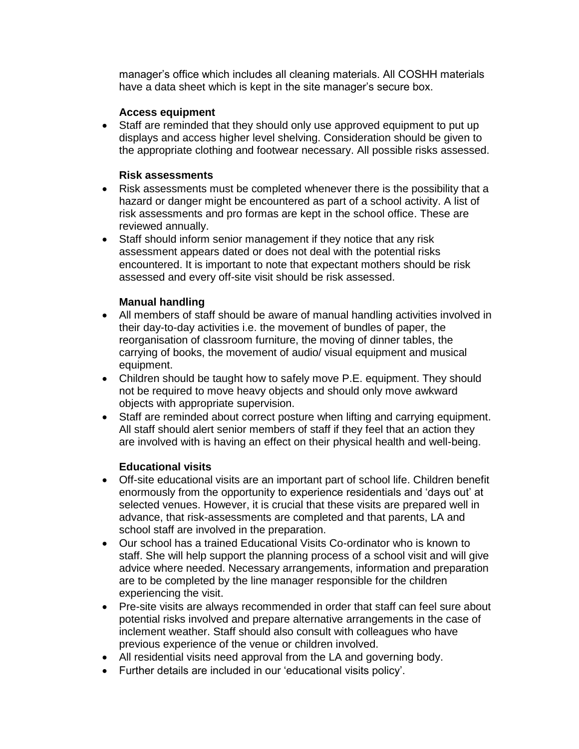manager's office which includes all cleaning materials. All COSHH materials have a data sheet which is kept in the site manager's secure box.

#### **Access equipment**

• Staff are reminded that they should only use approved equipment to put up displays and access higher level shelving. Consideration should be given to the appropriate clothing and footwear necessary. All possible risks assessed.

#### **Risk assessments**

- Risk assessments must be completed whenever there is the possibility that a hazard or danger might be encountered as part of a school activity. A list of risk assessments and pro formas are kept in the school office. These are reviewed annually.
- Staff should inform senior management if they notice that any risk assessment appears dated or does not deal with the potential risks encountered. It is important to note that expectant mothers should be risk assessed and every off-site visit should be risk assessed.

## **Manual handling**

- All members of staff should be aware of manual handling activities involved in their day-to-day activities i.e. the movement of bundles of paper, the reorganisation of classroom furniture, the moving of dinner tables, the carrying of books, the movement of audio/ visual equipment and musical equipment.
- Children should be taught how to safely move P.E. equipment. They should not be required to move heavy objects and should only move awkward objects with appropriate supervision.
- Staff are reminded about correct posture when lifting and carrying equipment. All staff should alert senior members of staff if they feel that an action they are involved with is having an effect on their physical health and well-being.

## **Educational visits**

- Off-site educational visits are an important part of school life. Children benefit enormously from the opportunity to experience residentials and 'days out' at selected venues. However, it is crucial that these visits are prepared well in advance, that risk-assessments are completed and that parents, LA and school staff are involved in the preparation.
- Our school has a trained Educational Visits Co-ordinator who is known to staff. She will help support the planning process of a school visit and will give advice where needed. Necessary arrangements, information and preparation are to be completed by the line manager responsible for the children experiencing the visit.
- Pre-site visits are always recommended in order that staff can feel sure about potential risks involved and prepare alternative arrangements in the case of inclement weather. Staff should also consult with colleagues who have previous experience of the venue or children involved.
- All residential visits need approval from the LA and governing body.
- Further details are included in our 'educational visits policy'.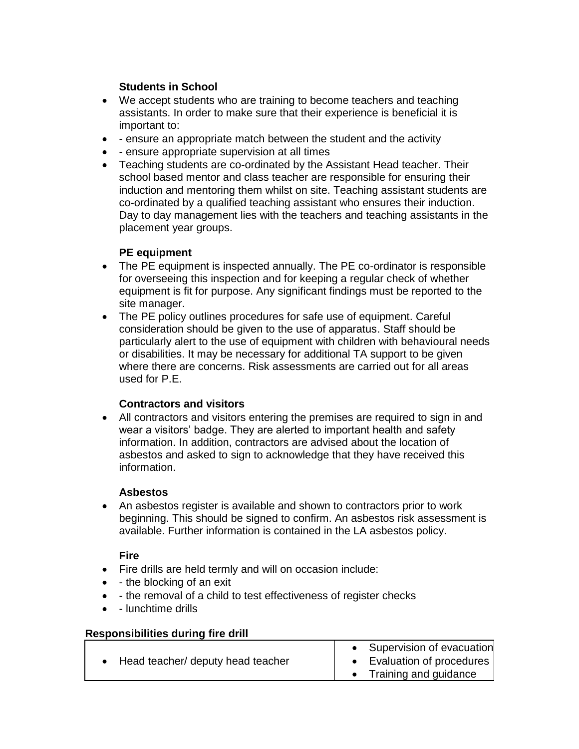## **Students in School**

- We accept students who are training to become teachers and teaching assistants. In order to make sure that their experience is beneficial it is important to:
- - ensure an appropriate match between the student and the activity
- - ensure appropriate supervision at all times
- Teaching students are co-ordinated by the Assistant Head teacher. Their school based mentor and class teacher are responsible for ensuring their induction and mentoring them whilst on site. Teaching assistant students are co-ordinated by a qualified teaching assistant who ensures their induction. Day to day management lies with the teachers and teaching assistants in the placement year groups.

#### **PE equipment**

- The PE equipment is inspected annually. The PE co-ordinator is responsible for overseeing this inspection and for keeping a regular check of whether equipment is fit for purpose. Any significant findings must be reported to the site manager.
- The PE policy outlines procedures for safe use of equipment. Careful consideration should be given to the use of apparatus. Staff should be particularly alert to the use of equipment with children with behavioural needs or disabilities. It may be necessary for additional TA support to be given where there are concerns. Risk assessments are carried out for all areas used for P.E.

## **Contractors and visitors**

• All contractors and visitors entering the premises are required to sign in and wear a visitors' badge. They are alerted to important health and safety information. In addition, contractors are advised about the location of asbestos and asked to sign to acknowledge that they have received this information.

#### **Asbestos**

• An asbestos register is available and shown to contractors prior to work beginning. This should be signed to confirm. An asbestos risk assessment is available. Further information is contained in the LA asbestos policy.

#### **Fire**

- Fire drills are held termly and will on occasion include:
- - the blocking of an exit
- - the removal of a child to test effectiveness of register checks
- - lunchtime drills

#### **Responsibilities during fire drill**

| Head teacher/ deputy head teacher |  | • Supervision of evacuation<br>• Evaluation of procedures<br>• Training and guidance |
|-----------------------------------|--|--------------------------------------------------------------------------------------|
|-----------------------------------|--|--------------------------------------------------------------------------------------|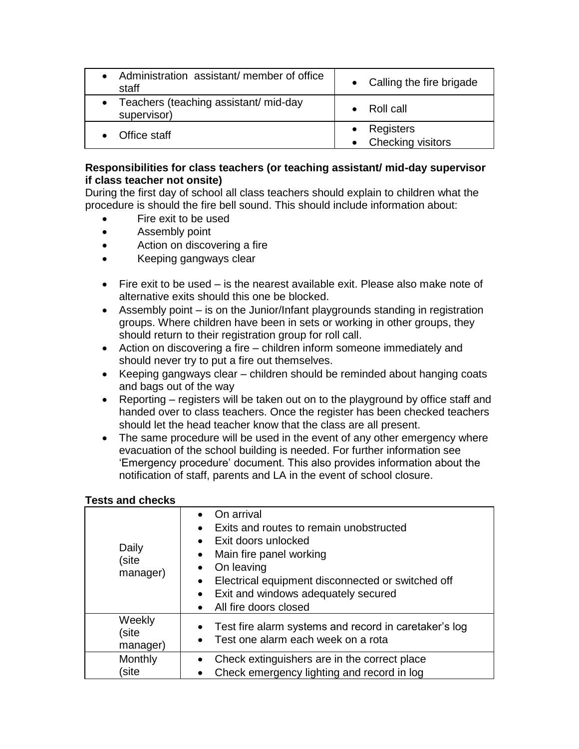| • Administration assistant/ member of office<br>staff  | • Calling the fire brigade         |
|--------------------------------------------------------|------------------------------------|
| • Teachers (teaching assistant/ mid-day<br>supervisor) | - Roll call                        |
| Office staff                                           | • Registers<br>• Checking visitors |

#### **Responsibilities for class teachers (or teaching assistant/ mid-day supervisor if class teacher not onsite)**

During the first day of school all class teachers should explain to children what the procedure is should the fire bell sound. This should include information about:

- Fire exit to be used
- Assembly point
- Action on discovering a fire
- Keeping gangways clear
- Fire exit to be used is the nearest available exit. Please also make note of alternative exits should this one be blocked.
- Assembly point is on the Junior/Infant playgrounds standing in registration groups. Where children have been in sets or working in other groups, they should return to their registration group for roll call.
- Action on discovering a fire children inform someone immediately and should never try to put a fire out themselves.
- Keeping gangways clear children should be reminded about hanging coats and bags out of the way
- Reporting registers will be taken out on to the playground by office staff and handed over to class teachers. Once the register has been checked teachers should let the head teacher know that the class are all present.
- The same procedure will be used in the event of any other emergency where evacuation of the school building is needed. For further information see 'Emergency procedure' document. This also provides information about the notification of staff, parents and LA in the event of school closure.

#### **Tests and checks**

| Daily<br>site)<br>manager)  | On arrival<br>Exits and routes to remain unobstructed<br>• Exit doors unlocked<br>Main fire panel working<br>On leaving<br>Electrical equipment disconnected or switched off<br>• Exit and windows adequately secured<br>• All fire doors closed |
|-----------------------------|--------------------------------------------------------------------------------------------------------------------------------------------------------------------------------------------------------------------------------------------------|
| Weekly<br>site)<br>manager) | Test fire alarm systems and record in caretaker's log<br>• Test one alarm each week on a rota                                                                                                                                                    |
| Monthly<br>site             | Check extinguishers are in the correct place<br>Check emergency lighting and record in log                                                                                                                                                       |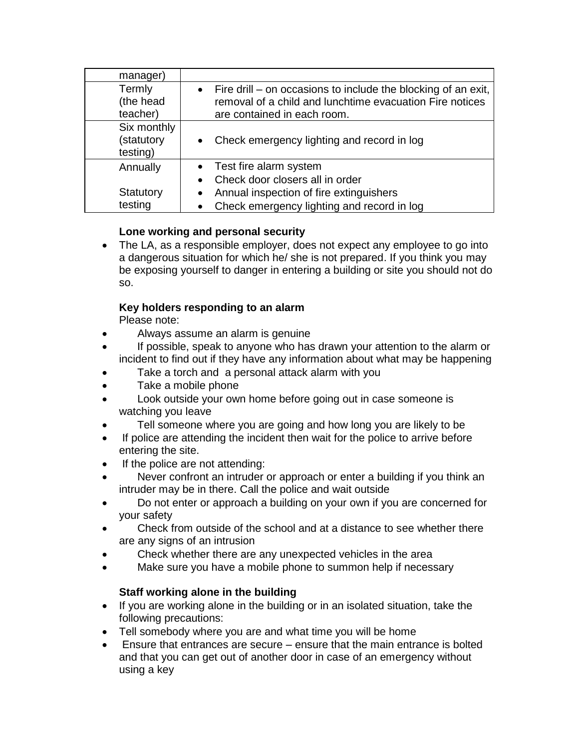| manager)                              |                                                                                                                                                            |
|---------------------------------------|------------------------------------------------------------------------------------------------------------------------------------------------------------|
| Termly<br>(the head<br>teacher)       | • Fire drill – on occasions to include the blocking of an exit,<br>removal of a child and lunchtime evacuation Fire notices<br>are contained in each room. |
| Six monthly<br>(statutory<br>testing) | Check emergency lighting and record in log                                                                                                                 |
| Annually                              | • Test fire alarm system                                                                                                                                   |
|                                       | Check door closers all in order                                                                                                                            |
| Statutory                             | Annual inspection of fire extinguishers                                                                                                                    |
| testing                               | Check emergency lighting and record in log                                                                                                                 |

## **Lone working and personal security**

• The LA, as a responsible employer, does not expect any employee to go into a dangerous situation for which he/ she is not prepared. If you think you may be exposing yourself to danger in entering a building or site you should not do so.

## **Key holders responding to an alarm**

Please note:

- Always assume an alarm is genuine
- If possible, speak to anyone who has drawn your attention to the alarm or incident to find out if they have any information about what may be happening
- Take a torch and a personal attack alarm with you
- Take a mobile phone
- Look outside your own home before going out in case someone is watching you leave
- Tell someone where you are going and how long you are likely to be
- If police are attending the incident then wait for the police to arrive before entering the site.
- If the police are not attending:
- Never confront an intruder or approach or enter a building if you think an intruder may be in there. Call the police and wait outside
- Do not enter or approach a building on your own if you are concerned for your safety
- Check from outside of the school and at a distance to see whether there are any signs of an intrusion
- Check whether there are any unexpected vehicles in the area
- Make sure you have a mobile phone to summon help if necessary

## **Staff working alone in the building**

- If you are working alone in the building or in an isolated situation, take the following precautions:
- Tell somebody where you are and what time you will be home
- Ensure that entrances are secure ensure that the main entrance is bolted and that you can get out of another door in case of an emergency without using a key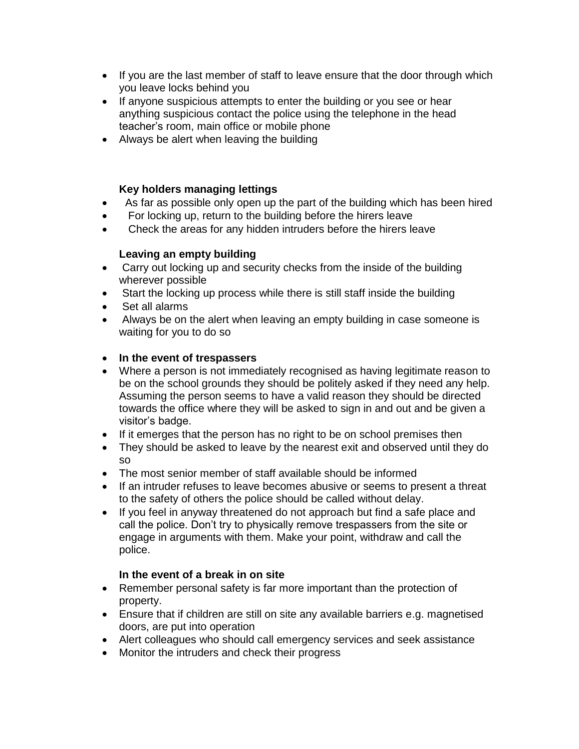- If you are the last member of staff to leave ensure that the door through which you leave locks behind you
- If anyone suspicious attempts to enter the building or you see or hear anything suspicious contact the police using the telephone in the head teacher's room, main office or mobile phone
- Always be alert when leaving the building

## **Key holders managing lettings**

- As far as possible only open up the part of the building which has been hired
- For locking up, return to the building before the hirers leave
- Check the areas for any hidden intruders before the hirers leave

#### **Leaving an empty building**

- Carry out locking up and security checks from the inside of the building wherever possible
- Start the locking up process while there is still staff inside the building
- Set all alarms
- Always be on the alert when leaving an empty building in case someone is waiting for you to do so

## • **In the event of trespassers**

- Where a person is not immediately recognised as having legitimate reason to be on the school grounds they should be politely asked if they need any help. Assuming the person seems to have a valid reason they should be directed towards the office where they will be asked to sign in and out and be given a visitor's badge.
- If it emerges that the person has no right to be on school premises then
- They should be asked to leave by the nearest exit and observed until they do so
- The most senior member of staff available should be informed
- If an intruder refuses to leave becomes abusive or seems to present a threat to the safety of others the police should be called without delay.
- If you feel in anyway threatened do not approach but find a safe place and call the police. Don't try to physically remove trespassers from the site or engage in arguments with them. Make your point, withdraw and call the police.

## **In the event of a break in on site**

- Remember personal safety is far more important than the protection of property.
- Ensure that if children are still on site any available barriers e.g. magnetised doors, are put into operation
- Alert colleagues who should call emergency services and seek assistance
- Monitor the intruders and check their progress